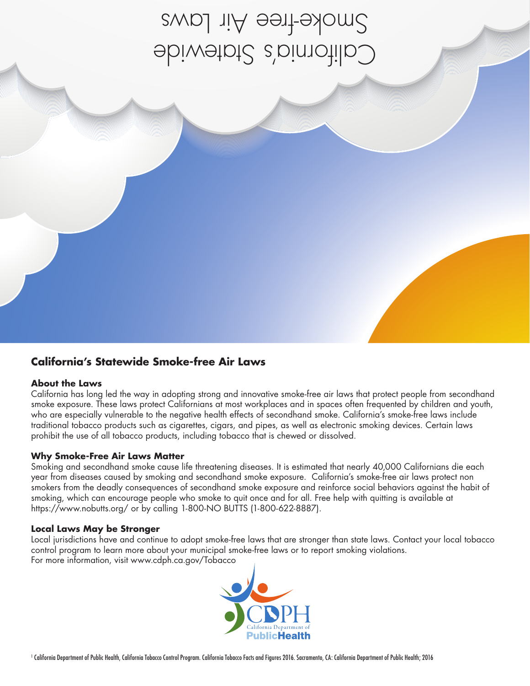California's Statewide Smoke-free Air Laws

### **California's Statewide Smoke-free Air Laws**

### **About the Laws**

California has long led the way in adopting strong and innovative smoke-free air laws that protect people from secondhand smoke exposure. These laws protect Californians at most workplaces and in spaces often frequented by children and youth, who are especially vulnerable to the negative health effects of secondhand smoke. California's smoke-free laws include traditional tobacco products such as cigarettes, cigars, and pipes, as well as electronic smoking devices. Certain laws prohibit the use of all tobacco products, including tobacco that is chewed or dissolved.

### **Why Smoke-Free Air Laws Matter**

Smoking and secondhand smoke cause life threatening diseases. It is estimated that nearly 40,000 Californians die each year from diseases caused by smoking and secondhand smoke exposure. California's smoke-free air laws protect non smokers from the deadly consequences of secondhand smoke exposure and reinforce social behaviors against the habit of smoking, which can encourage people who smoke to quit once and for all. Free help with quitting is available at https://www.nobutts.org/ or by calling 1-800-NO BUTTS (1-800-622-8887).

### **Local Laws May be Stronger**

Local jurisdictions have and continue to adopt smoke-free laws that are stronger than state laws. Contact your local tobacco control program to learn more about your municipal smoke-free laws or to report smoking violations. For more information, visit www.cdph.ca.gov/Tobacco